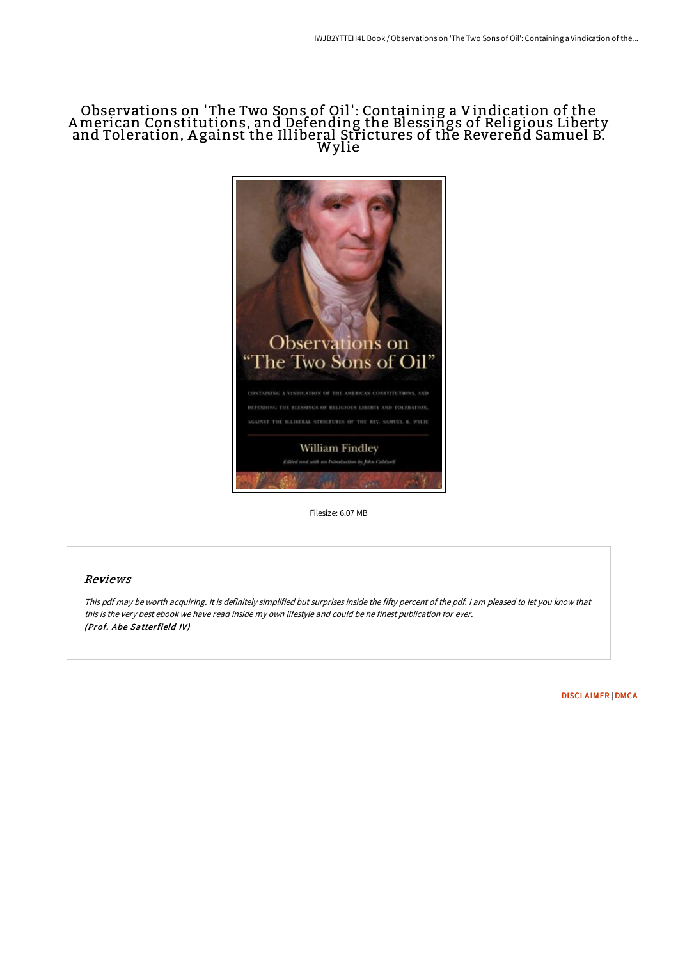## Observations on 'The Two Sons of Oil' : Containing a Vindication of the American Constitutions, and Defending the Blessings of Religious Liberty and Toleration, <sup>A</sup> gainst the Illiberal Strictures of the Reverend Samuel B. Wylie



Filesize: 6.07 MB

## Reviews

This pdf may be worth acquiring. It is definitely simplified but surprises inside the fifty percent of the pdf. <sup>I</sup> am pleased to let you know that this is the very best ebook we have read inside my own lifestyle and could be he finest publication for ever. (Prof. Abe Satterfield IV)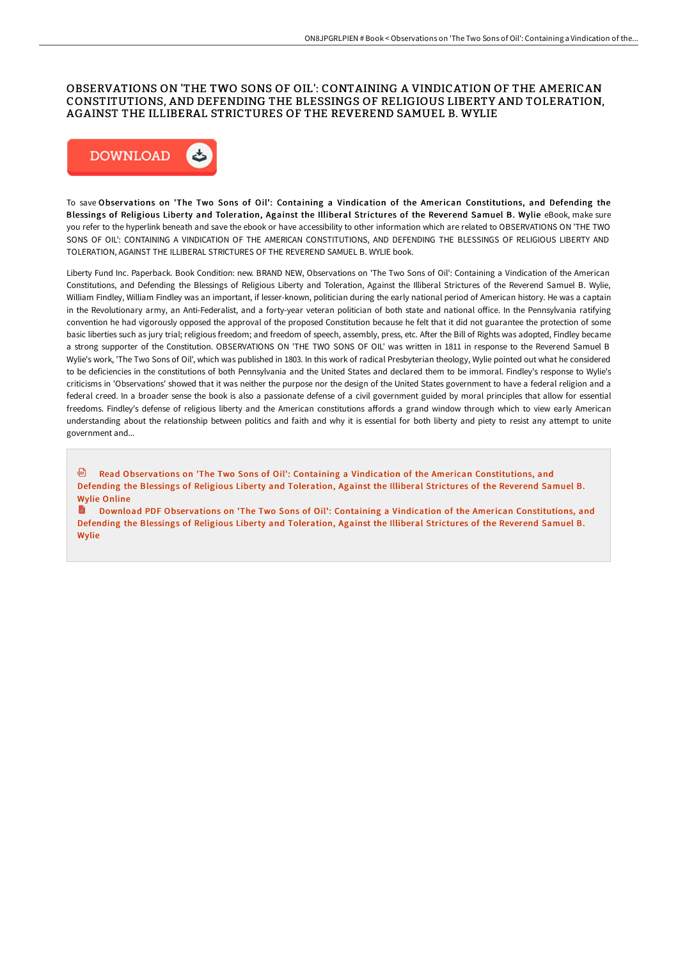## OBSERVATIONS ON 'THE TWO SONS OF OIL': CONTAINING A VINDICATION OF THE AMERICAN CONSTITUTIONS, AND DEFENDING THE BLESSINGS OF RELIGIOUS LIBERTY AND TOLERATION, AGAINST THE ILLIBERAL STRICTURES OF THE REVEREND SAMUEL B. WYLIE



To save Obser vations on 'The Two Sons of Oil': Containing a Vindication of the American Constitutions, and Defending the Blessings of Religious Liberty and Toleration, Against the Illiberal Strictures of the Reverend Samuel B. Wylie eBook, make sure you refer to the hyperlink beneath and save the ebook or have accessibility to other information which are related to OBSERVATIONS ON 'THE TWO SONS OF OIL': CONTAINING A VINDICATION OF THE AMERICAN CONSTITUTIONS, AND DEFENDING THE BLESSINGS OF RELIGIOUS LIBERTY AND TOLERATION, AGAINST THE ILLIBERAL STRICTURES OF THE REVEREND SAMUEL B. WYLIE book.

Liberty Fund Inc. Paperback. Book Condition: new. BRAND NEW, Observations on 'The Two Sons of Oil': Containing a Vindication of the American Constitutions, and Defending the Blessings of Religious Liberty and Toleration, Against the Illiberal Strictures of the Reverend Samuel B. Wylie, William Findley, William Findley was an important, if lesser-known, politician during the early national period of American history. He was a captain in the Revolutionary army, an Anti-Federalist, and a forty-year veteran politician of both state and national office. In the Pennsylvania ratifying convention he had vigorously opposed the approval of the proposed Constitution because he felt that it did not guarantee the protection of some basic liberties such as jury trial; religious freedom; and freedom of speech, assembly, press, etc. After the Bill of Rights was adopted, Findley became a strong supporter of the Constitution. OBSERVATIONS ON 'THE TWO SONS OF OIL' was written in 1811 in response to the Reverend Samuel B Wylie's work, 'The Two Sons of Oil', which was published in 1803. In this work of radical Presbyterian theology, Wylie pointed out what he considered to be deficiencies in the constitutions of both Pennsylvania and the United States and declared them to be immoral. Findley's response to Wylie's criticisms in 'Observations' showed that it was neither the purpose nor the design of the United States government to have a federal religion and a federal creed. In a broader sense the book is also a passionate defense of a civil government guided by moral principles that allow for essential freedoms. Findley's defense of religious liberty and the American constitutions affords a grand window through which to view early American understanding about the relationship between politics and faith and why it is essential for both liberty and piety to resist any attempt to unite government and...

<sup>画</sup> Read Observations on 'The Two Sons of Oil': Containing a Vindication of the American [Constitutions,](http://techno-pub.tech/observations-on-x27-the-two-sons-of-oil-x27-cont.html) and Defending the Blessings of Religious Liberty and Toleration, Against the Illiberal Strictures of the Reverend Samuel B. Wylie Online

Download PDF Observations on 'The Two Sons of Oil': Containing a Vindication of the American [Constitutions,](http://techno-pub.tech/observations-on-x27-the-two-sons-of-oil-x27-cont.html) and Defending the Blessings of Religious Liberty and Toleration, Against the Illiberal Strictures of the Reverend Samuel B. Wylie